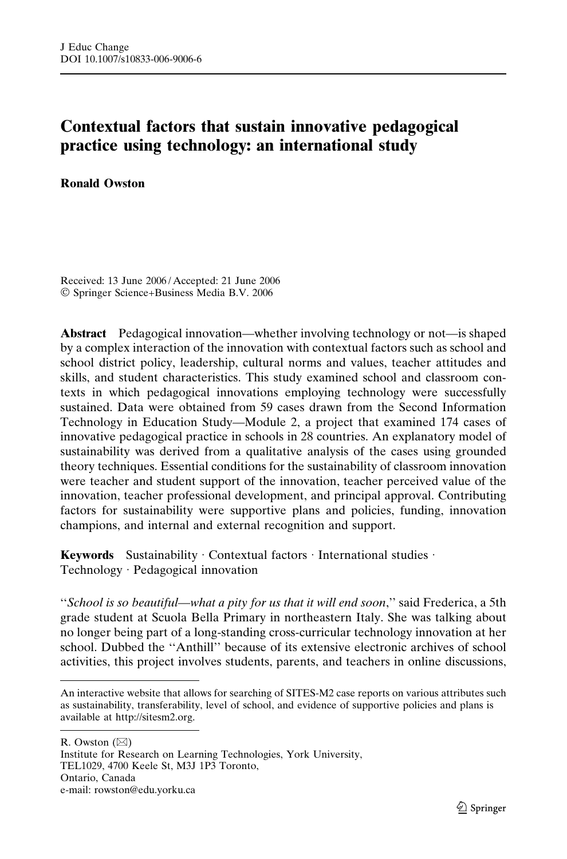# Contextual factors that sustain innovative pedagogical practice using technology: an international study

# Ronald Owston

Received: 13 June 2006 / Accepted: 21 June 2006 Springer Science+Business Media B.V. 2006

Abstract Pedagogical innovation—whether involving technology or not—is shaped by a complex interaction of the innovation with contextual factors such as school and school district policy, leadership, cultural norms and values, teacher attitudes and skills, and student characteristics. This study examined school and classroom contexts in which pedagogical innovations employing technology were successfully sustained. Data were obtained from 59 cases drawn from the Second Information Technology in Education Study—Module 2, a project that examined 174 cases of innovative pedagogical practice in schools in 28 countries. An explanatory model of sustainability was derived from a qualitative analysis of the cases using grounded theory techniques. Essential conditions for the sustainability of classroom innovation were teacher and student support of the innovation, teacher perceived value of the innovation, teacher professional development, and principal approval. Contributing factors for sustainability were supportive plans and policies, funding, innovation champions, and internal and external recognition and support.

Keywords Sustainability Contextual factors  $\cdot$  International studies  $\cdot$ Technology  $P$ edagogical innovation

''School is so beautiful—what a pity for us that it will end soon,'' said Frederica, a 5th grade student at Scuola Bella Primary in northeastern Italy. She was talking about no longer being part of a long-standing cross-curricular technology innovation at her school. Dubbed the ''Anthill'' because of its extensive electronic archives of school activities, this project involves students, parents, and teachers in online discussions,

R. Owston  $(\boxtimes)$ 

An interactive website that allows for searching of SITES-M2 case reports on various attributes such as sustainability, transferability, level of school, and evidence of supportive policies and plans is available at http://sitesm2.org.

Institute for Research on Learning Technologies, York University, TEL1029, 4700 Keele St, M3J 1P3 Toronto, Ontario, Canada e-mail: rowston@edu.yorku.ca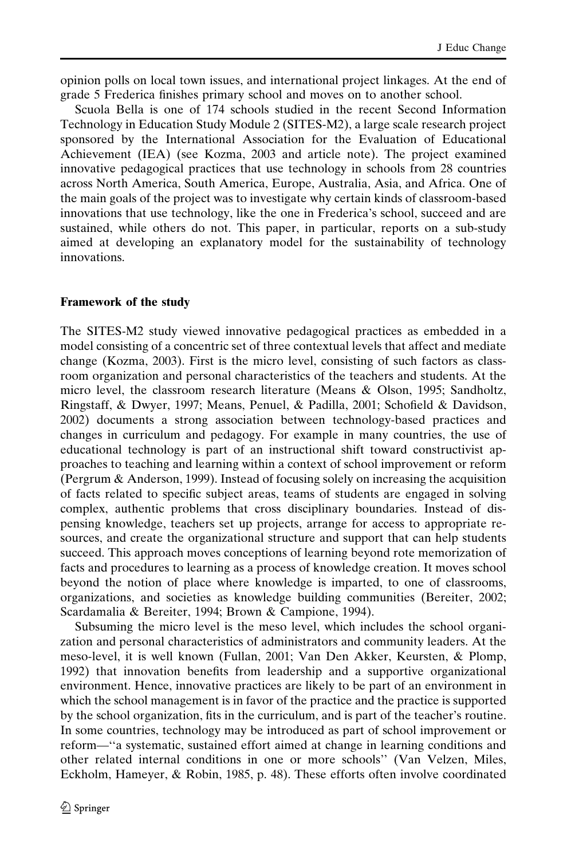opinion polls on local town issues, and international project linkages. At the end of grade 5 Frederica finishes primary school and moves on to another school.

Scuola Bella is one of 174 schools studied in the recent Second Information Technology in Education Study Module 2 (SITES-M2), a large scale research project sponsored by the International Association for the Evaluation of Educational Achievement (IEA) (see Kozma, 2003 and article note). The project examined innovative pedagogical practices that use technology in schools from 28 countries across North America, South America, Europe, Australia, Asia, and Africa. One of the main goals of the project was to investigate why certain kinds of classroom-based innovations that use technology, like the one in Frederica's school, succeed and are sustained, while others do not. This paper, in particular, reports on a sub-study aimed at developing an explanatory model for the sustainability of technology innovations.

# Framework of the study

The SITES-M2 study viewed innovative pedagogical practices as embedded in a model consisting of a concentric set of three contextual levels that affect and mediate change (Kozma, 2003). First is the micro level, consisting of such factors as classroom organization and personal characteristics of the teachers and students. At the micro level, the classroom research literature (Means & Olson, 1995; Sandholtz, Ringstaff, & Dwyer, 1997; Means, Penuel, & Padilla, 2001; Schofield & Davidson, 2002) documents a strong association between technology-based practices and changes in curriculum and pedagogy. For example in many countries, the use of educational technology is part of an instructional shift toward constructivist approaches to teaching and learning within a context of school improvement or reform (Pergrum & Anderson, 1999). Instead of focusing solely on increasing the acquisition of facts related to specific subject areas, teams of students are engaged in solving complex, authentic problems that cross disciplinary boundaries. Instead of dispensing knowledge, teachers set up projects, arrange for access to appropriate resources, and create the organizational structure and support that can help students succeed. This approach moves conceptions of learning beyond rote memorization of facts and procedures to learning as a process of knowledge creation. It moves school beyond the notion of place where knowledge is imparted, to one of classrooms, organizations, and societies as knowledge building communities (Bereiter, 2002; Scardamalia & Bereiter, 1994; Brown & Campione, 1994).

Subsuming the micro level is the meso level, which includes the school organization and personal characteristics of administrators and community leaders. At the meso-level, it is well known (Fullan, 2001; Van Den Akker, Keursten, & Plomp, 1992) that innovation benefits from leadership and a supportive organizational environment. Hence, innovative practices are likely to be part of an environment in which the school management is in favor of the practice and the practice is supported by the school organization, fits in the curriculum, and is part of the teacher's routine. In some countries, technology may be introduced as part of school improvement or reform—''a systematic, sustained effort aimed at change in learning conditions and other related internal conditions in one or more schools'' (Van Velzen, Miles, Eckholm, Hameyer, & Robin, 1985, p. 48). These efforts often involve coordinated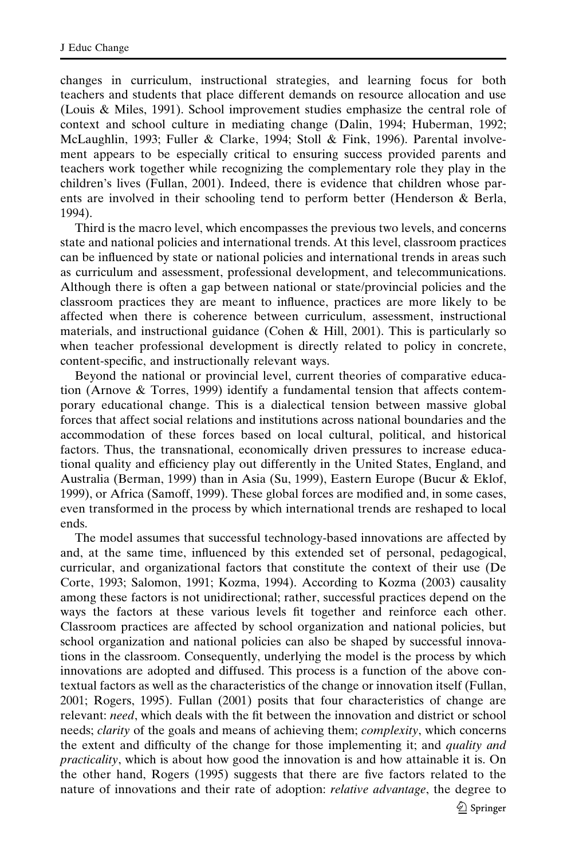changes in curriculum, instructional strategies, and learning focus for both teachers and students that place different demands on resource allocation and use (Louis & Miles, 1991). School improvement studies emphasize the central role of context and school culture in mediating change (Dalin, 1994; Huberman, 1992; McLaughlin, 1993; Fuller & Clarke, 1994; Stoll & Fink, 1996). Parental involvement appears to be especially critical to ensuring success provided parents and teachers work together while recognizing the complementary role they play in the children's lives (Fullan, 2001). Indeed, there is evidence that children whose parents are involved in their schooling tend to perform better (Henderson & Berla, 1994).

Third is the macro level, which encompasses the previous two levels, and concerns state and national policies and international trends. At this level, classroom practices can be influenced by state or national policies and international trends in areas such as curriculum and assessment, professional development, and telecommunications. Although there is often a gap between national or state/provincial policies and the classroom practices they are meant to influence, practices are more likely to be affected when there is coherence between curriculum, assessment, instructional materials, and instructional guidance (Cohen & Hill, 2001). This is particularly so when teacher professional development is directly related to policy in concrete, content-specific, and instructionally relevant ways.

Beyond the national or provincial level, current theories of comparative education (Arnove & Torres, 1999) identify a fundamental tension that affects contemporary educational change. This is a dialectical tension between massive global forces that affect social relations and institutions across national boundaries and the accommodation of these forces based on local cultural, political, and historical factors. Thus, the transnational, economically driven pressures to increase educational quality and efficiency play out differently in the United States, England, and Australia (Berman, 1999) than in Asia (Su, 1999), Eastern Europe (Bucur & Eklof, 1999), or Africa (Samoff, 1999). These global forces are modified and, in some cases, even transformed in the process by which international trends are reshaped to local ends.

The model assumes that successful technology-based innovations are affected by and, at the same time, influenced by this extended set of personal, pedagogical, curricular, and organizational factors that constitute the context of their use (De Corte, 1993; Salomon, 1991; Kozma, 1994). According to Kozma (2003) causality among these factors is not unidirectional; rather, successful practices depend on the ways the factors at these various levels fit together and reinforce each other. Classroom practices are affected by school organization and national policies, but school organization and national policies can also be shaped by successful innovations in the classroom. Consequently, underlying the model is the process by which innovations are adopted and diffused. This process is a function of the above contextual factors as well as the characteristics of the change or innovation itself (Fullan, 2001; Rogers, 1995). Fullan (2001) posits that four characteristics of change are relevant: need, which deals with the fit between the innovation and district or school needs; *clarity* of the goals and means of achieving them; *complexity*, which concerns the extent and difficulty of the change for those implementing it; and *quality and* practicality, which is about how good the innovation is and how attainable it is. On the other hand, Rogers (1995) suggests that there are five factors related to the nature of innovations and their rate of adoption: *relative advantage*, the degree to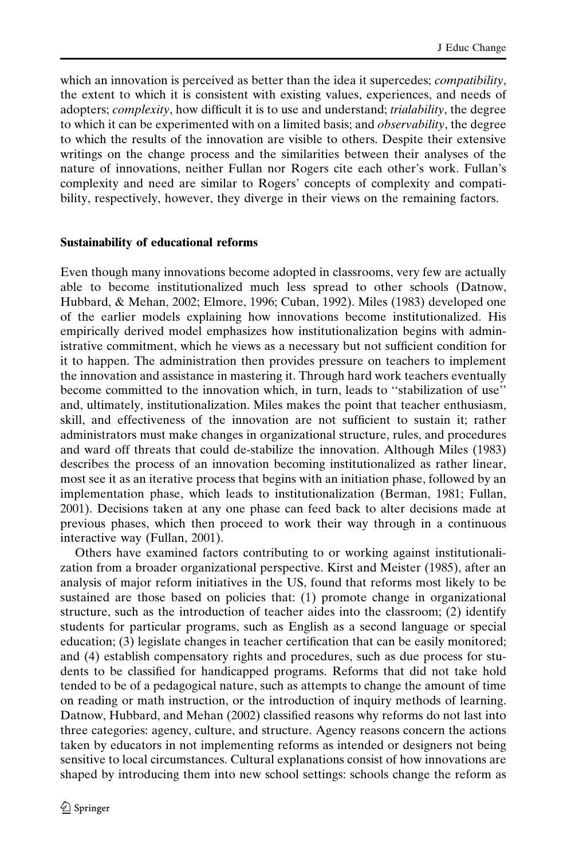which an innovation is perceived as better than the idea it supercedes; *compatibility*, the extent to which it is consistent with existing values, experiences, and needs of adopters; *complexity*, how difficult it is to use and understand; *trialability*, the degree to which it can be experimented with on a limited basis; and *observability*, the degree to which the results of the innovation are visible to others. Despite their extensive writings on the change process and the similarities between their analyses of the nature of innovations, neither Fullan nor Rogers cite each other's work. Fullan's complexity and need are similar to Rogers' concepts of complexity and compatibility, respectively, however, they diverge in their views on the remaining factors.

## Sustainability of educational reforms

Even though many innovations become adopted in classrooms, very few are actually able to become institutionalized much less spread to other schools (Datnow, Hubbard, & Mehan, 2002; Elmore, 1996; Cuban, 1992). Miles (1983) developed one of the earlier models explaining how innovations become institutionalized. His empirically derived model emphasizes how institutionalization begins with administrative commitment, which he views as a necessary but not sufficient condition for it to happen. The administration then provides pressure on teachers to implement the innovation and assistance in mastering it. Through hard work teachers eventually become committed to the innovation which, in turn, leads to ''stabilization of use'' and, ultimately, institutionalization. Miles makes the point that teacher enthusiasm, skill, and effectiveness of the innovation are not sufficient to sustain it; rather administrators must make changes in organizational structure, rules, and procedures and ward off threats that could de-stabilize the innovation. Although Miles (1983) describes the process of an innovation becoming institutionalized as rather linear, most see it as an iterative process that begins with an initiation phase, followed by an implementation phase, which leads to institutionalization (Berman, 1981; Fullan, 2001). Decisions taken at any one phase can feed back to alter decisions made at previous phases, which then proceed to work their way through in a continuous interactive way (Fullan, 2001).

Others have examined factors contributing to or working against institutionalization from a broader organizational perspective. Kirst and Meister (1985), after an analysis of major reform initiatives in the US, found that reforms most likely to be sustained are those based on policies that: (1) promote change in organizational structure, such as the introduction of teacher aides into the classroom; (2) identify students for particular programs, such as English as a second language or special education; (3) legislate changes in teacher certification that can be easily monitored; and (4) establish compensatory rights and procedures, such as due process for students to be classified for handicapped programs. Reforms that did not take hold tended to be of a pedagogical nature, such as attempts to change the amount of time on reading or math instruction, or the introduction of inquiry methods of learning. Datnow, Hubbard, and Mehan (2002) classified reasons why reforms do not last into three categories: agency, culture, and structure. Agency reasons concern the actions taken by educators in not implementing reforms as intended or designers not being sensitive to local circumstances. Cultural explanations consist of how innovations are shaped by introducing them into new school settings: schools change the reform as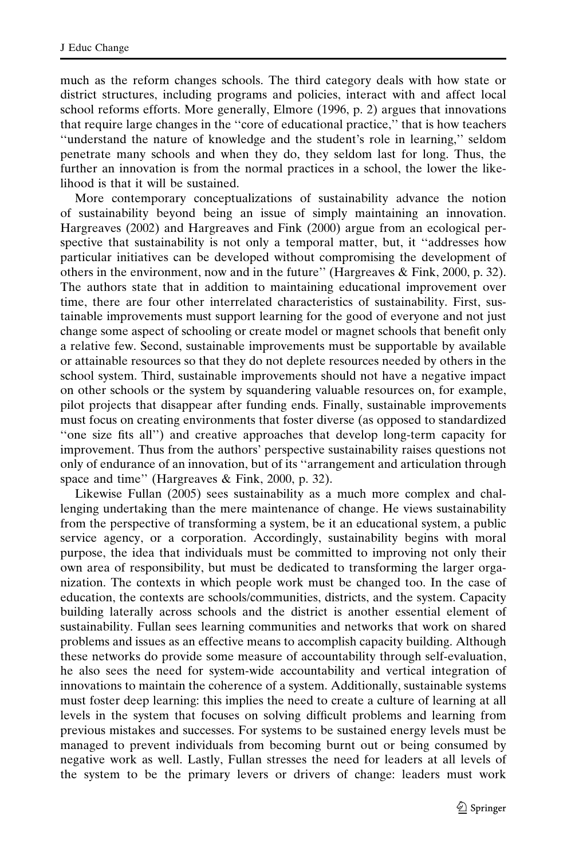much as the reform changes schools. The third category deals with how state or district structures, including programs and policies, interact with and affect local school reforms efforts. More generally, Elmore (1996, p. 2) argues that innovations that require large changes in the ''core of educational practice,'' that is how teachers ''understand the nature of knowledge and the student's role in learning,'' seldom penetrate many schools and when they do, they seldom last for long. Thus, the further an innovation is from the normal practices in a school, the lower the likelihood is that it will be sustained.

More contemporary conceptualizations of sustainability advance the notion of sustainability beyond being an issue of simply maintaining an innovation. Hargreaves (2002) and Hargreaves and Fink (2000) argue from an ecological perspective that sustainability is not only a temporal matter, but, it ''addresses how particular initiatives can be developed without compromising the development of others in the environment, now and in the future'' (Hargreaves & Fink, 2000, p. 32). The authors state that in addition to maintaining educational improvement over time, there are four other interrelated characteristics of sustainability. First, sustainable improvements must support learning for the good of everyone and not just change some aspect of schooling or create model or magnet schools that benefit only a relative few. Second, sustainable improvements must be supportable by available or attainable resources so that they do not deplete resources needed by others in the school system. Third, sustainable improvements should not have a negative impact on other schools or the system by squandering valuable resources on, for example, pilot projects that disappear after funding ends. Finally, sustainable improvements must focus on creating environments that foster diverse (as opposed to standardized ''one size fits all'') and creative approaches that develop long-term capacity for improvement. Thus from the authors' perspective sustainability raises questions not only of endurance of an innovation, but of its ''arrangement and articulation through space and time" (Hargreaves & Fink, 2000, p. 32).

Likewise Fullan (2005) sees sustainability as a much more complex and challenging undertaking than the mere maintenance of change. He views sustainability from the perspective of transforming a system, be it an educational system, a public service agency, or a corporation. Accordingly, sustainability begins with moral purpose, the idea that individuals must be committed to improving not only their own area of responsibility, but must be dedicated to transforming the larger organization. The contexts in which people work must be changed too. In the case of education, the contexts are schools/communities, districts, and the system. Capacity building laterally across schools and the district is another essential element of sustainability. Fullan sees learning communities and networks that work on shared problems and issues as an effective means to accomplish capacity building. Although these networks do provide some measure of accountability through self-evaluation, he also sees the need for system-wide accountability and vertical integration of innovations to maintain the coherence of a system. Additionally, sustainable systems must foster deep learning: this implies the need to create a culture of learning at all levels in the system that focuses on solving difficult problems and learning from previous mistakes and successes. For systems to be sustained energy levels must be managed to prevent individuals from becoming burnt out or being consumed by negative work as well. Lastly, Fullan stresses the need for leaders at all levels of the system to be the primary levers or drivers of change: leaders must work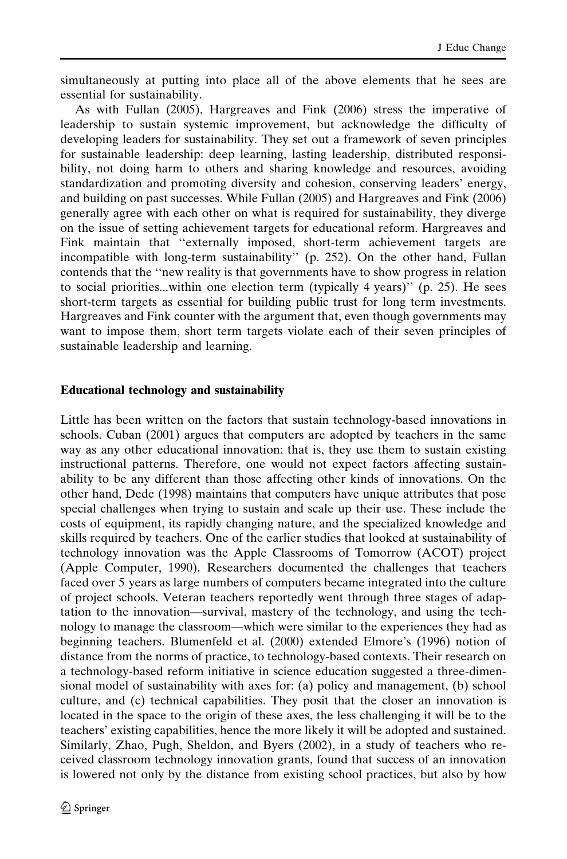simultaneously at putting into place all of the above elements that he sees are essential for sustainability.

As with Fullan (2005), Hargreaves and Fink (2006) stress the imperative of leadership to sustain systemic improvement, but acknowledge the difficulty of developing leaders for sustainability. They set out a framework of seven principles for sustainable leadership: deep learning, lasting leadership, distributed responsibility, not doing harm to others and sharing knowledge and resources, avoiding standardization and promoting diversity and cohesion, conserving leaders' energy, and building on past successes. While Fullan (2005) and Hargreaves and Fink (2006) generally agree with each other on what is required for sustainability, they diverge on the issue of setting achievement targets for educational reform. Hargreaves and Fink maintain that ''externally imposed, short-term achievement targets are incompatible with long-term sustainability'' (p. 252). On the other hand, Fullan contends that the ''new reality is that governments have to show progress in relation to social priorities...within one election term (typically 4 years)'' (p. 25). He sees short-term targets as essential for building public trust for long term investments. Hargreaves and Fink counter with the argument that, even though governments may want to impose them, short term targets violate each of their seven principles of sustainable leadership and learning.

## Educational technology and sustainability

Little has been written on the factors that sustain technology-based innovations in schools. Cuban (2001) argues that computers are adopted by teachers in the same way as any other educational innovation; that is, they use them to sustain existing instructional patterns. Therefore, one would not expect factors affecting sustainability to be any different than those affecting other kinds of innovations. On the other hand, Dede (1998) maintains that computers have unique attributes that pose special challenges when trying to sustain and scale up their use. These include the costs of equipment, its rapidly changing nature, and the specialized knowledge and skills required by teachers. One of the earlier studies that looked at sustainability of technology innovation was the Apple Classrooms of Tomorrow (ACOT) project (Apple Computer, 1990). Researchers documented the challenges that teachers faced over 5 years as large numbers of computers became integrated into the culture of project schools. Veteran teachers reportedly went through three stages of adaptation to the innovation—survival, mastery of the technology, and using the technology to manage the classroom—which were similar to the experiences they had as beginning teachers. Blumenfeld et al. (2000) extended Elmore's (1996) notion of distance from the norms of practice, to technology-based contexts. Their research on a technology-based reform initiative in science education suggested a three-dimensional model of sustainability with axes for: (a) policy and management, (b) school culture, and (c) technical capabilities. They posit that the closer an innovation is located in the space to the origin of these axes, the less challenging it will be to the teachers' existing capabilities, hence the more likely it will be adopted and sustained. Similarly, Zhao, Pugh, Sheldon, and Byers (2002), in a study of teachers who received classroom technology innovation grants, found that success of an innovation is lowered not only by the distance from existing school practices, but also by how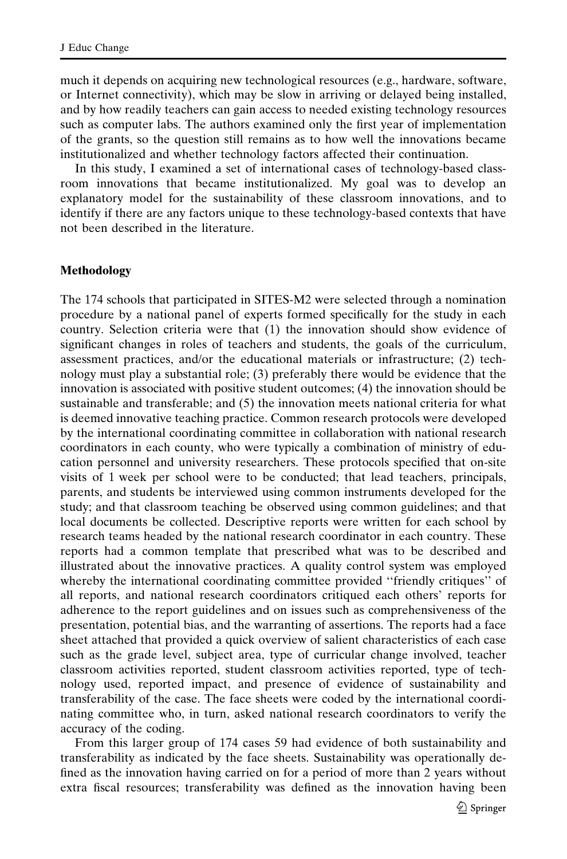much it depends on acquiring new technological resources (e.g., hardware, software, or Internet connectivity), which may be slow in arriving or delayed being installed, and by how readily teachers can gain access to needed existing technology resources such as computer labs. The authors examined only the first year of implementation of the grants, so the question still remains as to how well the innovations became institutionalized and whether technology factors affected their continuation.

In this study, I examined a set of international cases of technology-based classroom innovations that became institutionalized. My goal was to develop an explanatory model for the sustainability of these classroom innovations, and to identify if there are any factors unique to these technology-based contexts that have not been described in the literature.

## Methodology

The 174 schools that participated in SITES-M2 were selected through a nomination procedure by a national panel of experts formed specifically for the study in each country. Selection criteria were that (1) the innovation should show evidence of significant changes in roles of teachers and students, the goals of the curriculum, assessment practices, and/or the educational materials or infrastructure; (2) technology must play a substantial role; (3) preferably there would be evidence that the innovation is associated with positive student outcomes; (4) the innovation should be sustainable and transferable; and (5) the innovation meets national criteria for what is deemed innovative teaching practice. Common research protocols were developed by the international coordinating committee in collaboration with national research coordinators in each county, who were typically a combination of ministry of education personnel and university researchers. These protocols specified that on-site visits of 1 week per school were to be conducted; that lead teachers, principals, parents, and students be interviewed using common instruments developed for the study; and that classroom teaching be observed using common guidelines; and that local documents be collected. Descriptive reports were written for each school by research teams headed by the national research coordinator in each country. These reports had a common template that prescribed what was to be described and illustrated about the innovative practices. A quality control system was employed whereby the international coordinating committee provided ''friendly critiques'' of all reports, and national research coordinators critiqued each others' reports for adherence to the report guidelines and on issues such as comprehensiveness of the presentation, potential bias, and the warranting of assertions. The reports had a face sheet attached that provided a quick overview of salient characteristics of each case such as the grade level, subject area, type of curricular change involved, teacher classroom activities reported, student classroom activities reported, type of technology used, reported impact, and presence of evidence of sustainability and transferability of the case. The face sheets were coded by the international coordinating committee who, in turn, asked national research coordinators to verify the accuracy of the coding.

From this larger group of 174 cases 59 had evidence of both sustainability and transferability as indicated by the face sheets. Sustainability was operationally defined as the innovation having carried on for a period of more than 2 years without extra fiscal resources; transferability was defined as the innovation having been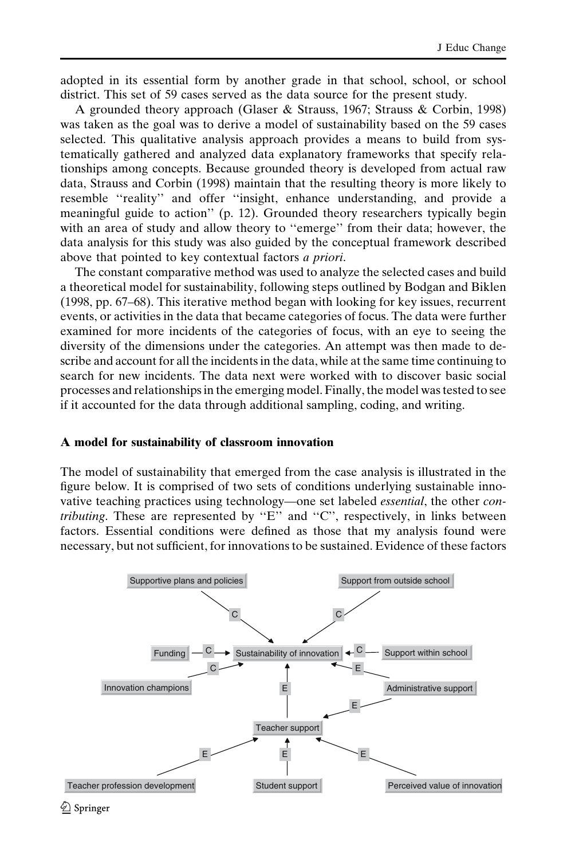adopted in its essential form by another grade in that school, school, or school district. This set of 59 cases served as the data source for the present study.

A grounded theory approach (Glaser & Strauss, 1967; Strauss & Corbin, 1998) was taken as the goal was to derive a model of sustainability based on the 59 cases selected. This qualitative analysis approach provides a means to build from systematically gathered and analyzed data explanatory frameworks that specify relationships among concepts. Because grounded theory is developed from actual raw data, Strauss and Corbin (1998) maintain that the resulting theory is more likely to resemble ''reality'' and offer ''insight, enhance understanding, and provide a meaningful guide to action'' (p. 12). Grounded theory researchers typically begin with an area of study and allow theory to ''emerge'' from their data; however, the data analysis for this study was also guided by the conceptual framework described above that pointed to key contextual factors a priori.

The constant comparative method was used to analyze the selected cases and build a theoretical model for sustainability, following steps outlined by Bodgan and Biklen (1998, pp. 67–68). This iterative method began with looking for key issues, recurrent events, or activities in the data that became categories of focus. The data were further examined for more incidents of the categories of focus, with an eye to seeing the diversity of the dimensions under the categories. An attempt was then made to describe and account for all the incidents in the data, while at the same time continuing to search for new incidents. The data next were worked with to discover basic social processes and relationships in the emerging model. Finally, the model was tested to see if it accounted for the data through additional sampling, coding, and writing.

#### A model for sustainability of classroom innovation

The model of sustainability that emerged from the case analysis is illustrated in the figure below. It is comprised of two sets of conditions underlying sustainable innovative teaching practices using technology—one set labeled essential, the other contributing. These are represented by "E" and "C", respectively, in links between factors. Essential conditions were defined as those that my analysis found were necessary, but not sufficient, for innovations to be sustained. Evidence of these factors



 $\circled{2}$  Springer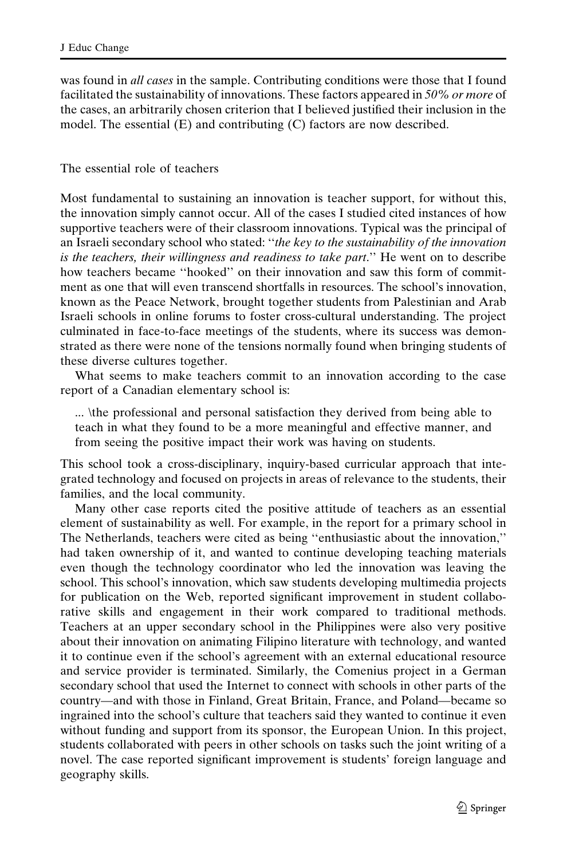was found in *all cases* in the sample. Contributing conditions were those that I found facilitated the sustainability of innovations. These factors appeared in  $50\%$  or more of the cases, an arbitrarily chosen criterion that I believed justified their inclusion in the model. The essential (E) and contributing (C) factors are now described.

## The essential role of teachers

Most fundamental to sustaining an innovation is teacher support, for without this, the innovation simply cannot occur. All of the cases I studied cited instances of how supportive teachers were of their classroom innovations. Typical was the principal of an Israeli secondary school who stated: ''the key to the sustainability of the innovation is the teachers, their willingness and readiness to take part." He went on to describe how teachers became ''hooked'' on their innovation and saw this form of commitment as one that will even transcend shortfalls in resources. The school's innovation, known as the Peace Network, brought together students from Palestinian and Arab Israeli schools in online forums to foster cross-cultural understanding. The project culminated in face-to-face meetings of the students, where its success was demonstrated as there were none of the tensions normally found when bringing students of these diverse cultures together.

What seems to make teachers commit to an innovation according to the case report of a Canadian elementary school is:

... \the professional and personal satisfaction they derived from being able to teach in what they found to be a more meaningful and effective manner, and from seeing the positive impact their work was having on students.

This school took a cross-disciplinary, inquiry-based curricular approach that integrated technology and focused on projects in areas of relevance to the students, their families, and the local community.

Many other case reports cited the positive attitude of teachers as an essential element of sustainability as well. For example, in the report for a primary school in The Netherlands, teachers were cited as being ''enthusiastic about the innovation,'' had taken ownership of it, and wanted to continue developing teaching materials even though the technology coordinator who led the innovation was leaving the school. This school's innovation, which saw students developing multimedia projects for publication on the Web, reported significant improvement in student collaborative skills and engagement in their work compared to traditional methods. Teachers at an upper secondary school in the Philippines were also very positive about their innovation on animating Filipino literature with technology, and wanted it to continue even if the school's agreement with an external educational resource and service provider is terminated. Similarly, the Comenius project in a German secondary school that used the Internet to connect with schools in other parts of the country—and with those in Finland, Great Britain, France, and Poland—became so ingrained into the school's culture that teachers said they wanted to continue it even without funding and support from its sponsor, the European Union. In this project, students collaborated with peers in other schools on tasks such the joint writing of a novel. The case reported significant improvement is students' foreign language and geography skills.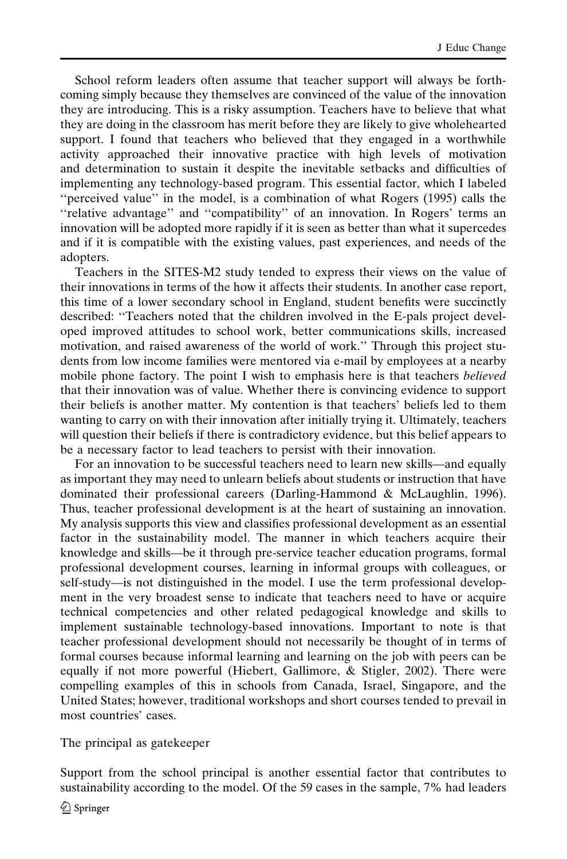School reform leaders often assume that teacher support will always be forthcoming simply because they themselves are convinced of the value of the innovation they are introducing. This is a risky assumption. Teachers have to believe that what they are doing in the classroom has merit before they are likely to give wholehearted support. I found that teachers who believed that they engaged in a worthwhile activity approached their innovative practice with high levels of motivation and determination to sustain it despite the inevitable setbacks and difficulties of implementing any technology-based program. This essential factor, which I labeled ''perceived value'' in the model, is a combination of what Rogers (1995) calls the ''relative advantage'' and ''compatibility'' of an innovation. In Rogers' terms an innovation will be adopted more rapidly if it is seen as better than what it supercedes and if it is compatible with the existing values, past experiences, and needs of the adopters.

Teachers in the SITES-M2 study tended to express their views on the value of their innovations in terms of the how it affects their students. In another case report, this time of a lower secondary school in England, student benefits were succinctly described: ''Teachers noted that the children involved in the E-pals project developed improved attitudes to school work, better communications skills, increased motivation, and raised awareness of the world of work.'' Through this project students from low income families were mentored via e-mail by employees at a nearby mobile phone factory. The point I wish to emphasis here is that teachers believed that their innovation was of value. Whether there is convincing evidence to support their beliefs is another matter. My contention is that teachers' beliefs led to them wanting to carry on with their innovation after initially trying it. Ultimately, teachers will question their beliefs if there is contradictory evidence, but this belief appears to be a necessary factor to lead teachers to persist with their innovation.

For an innovation to be successful teachers need to learn new skills—and equally as important they may need to unlearn beliefs about students or instruction that have dominated their professional careers (Darling-Hammond & McLaughlin, 1996). Thus, teacher professional development is at the heart of sustaining an innovation. My analysis supports this view and classifies professional development as an essential factor in the sustainability model. The manner in which teachers acquire their knowledge and skills—be it through pre-service teacher education programs, formal professional development courses, learning in informal groups with colleagues, or self-study—is not distinguished in the model. I use the term professional development in the very broadest sense to indicate that teachers need to have or acquire technical competencies and other related pedagogical knowledge and skills to implement sustainable technology-based innovations. Important to note is that teacher professional development should not necessarily be thought of in terms of formal courses because informal learning and learning on the job with peers can be equally if not more powerful (Hiebert, Gallimore, & Stigler, 2002). There were compelling examples of this in schools from Canada, Israel, Singapore, and the United States; however, traditional workshops and short courses tended to prevail in most countries' cases.

The principal as gatekeeper

Support from the school principal is another essential factor that contributes to sustainability according to the model. Of the 59 cases in the sample, 7% had leaders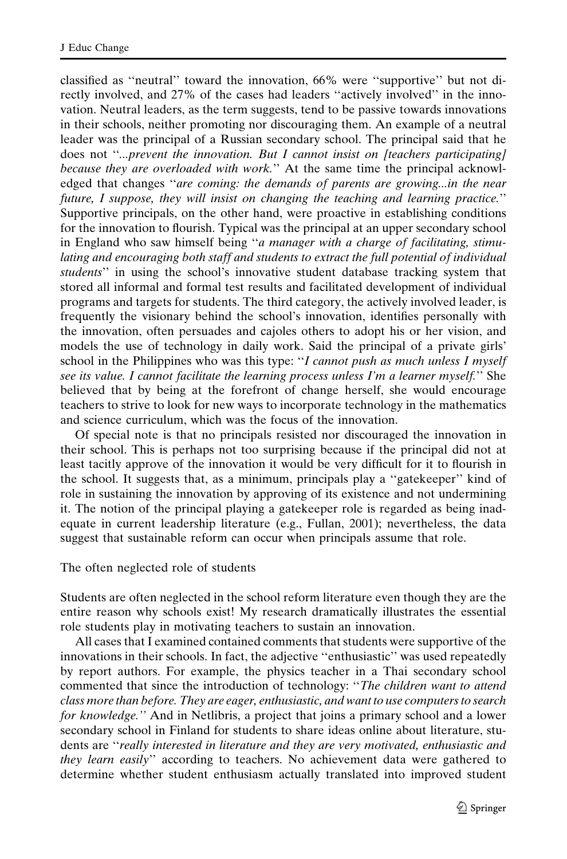classified as ''neutral'' toward the innovation, 66% were ''supportive'' but not directly involved, and 27% of the cases had leaders ''actively involved'' in the innovation. Neutral leaders, as the term suggests, tend to be passive towards innovations in their schools, neither promoting nor discouraging them. An example of a neutral leader was the principal of a Russian secondary school. The principal said that he does not "...prevent the innovation. But I cannot insist on [teachers participating] because they are overloaded with work." At the same time the principal acknowledged that changes "are coming: the demands of parents are growing...in the near future, I suppose, they will insist on changing the teaching and learning practice.'' Supportive principals, on the other hand, were proactive in establishing conditions for the innovation to flourish. Typical was the principal at an upper secondary school in England who saw himself being "a manager with a charge of facilitating, stimulating and encouraging both staff and students to extract the full potential of individual students'' in using the school's innovative student database tracking system that stored all informal and formal test results and facilitated development of individual programs and targets for students. The third category, the actively involved leader, is frequently the visionary behind the school's innovation, identifies personally with the innovation, often persuades and cajoles others to adopt his or her vision, and models the use of technology in daily work. Said the principal of a private girls' school in the Philippines who was this type: "I cannot push as much unless I myself see its value. I cannot facilitate the learning process unless I'm a learner myself." She believed that by being at the forefront of change herself, she would encourage teachers to strive to look for new ways to incorporate technology in the mathematics and science curriculum, which was the focus of the innovation.

Of special note is that no principals resisted nor discouraged the innovation in their school. This is perhaps not too surprising because if the principal did not at least tacitly approve of the innovation it would be very difficult for it to flourish in the school. It suggests that, as a minimum, principals play a ''gatekeeper'' kind of role in sustaining the innovation by approving of its existence and not undermining it. The notion of the principal playing a gatekeeper role is regarded as being inadequate in current leadership literature (e.g., Fullan, 2001); nevertheless, the data suggest that sustainable reform can occur when principals assume that role.

The often neglected role of students

Students are often neglected in the school reform literature even though they are the entire reason why schools exist! My research dramatically illustrates the essential role students play in motivating teachers to sustain an innovation.

All cases that I examined contained comments that students were supportive of the innovations in their schools. In fact, the adjective ''enthusiastic'' was used repeatedly by report authors. For example, the physics teacher in a Thai secondary school commented that since the introduction of technology: "The children want to attend class more than before. They are eager, enthusiastic, and want to use computers to search for knowledge." And in Netlibris, a project that joins a primary school and a lower secondary school in Finland for students to share ideas online about literature, students are ''really interested in literature and they are very motivated, enthusiastic and they learn easily" according to teachers. No achievement data were gathered to determine whether student enthusiasm actually translated into improved student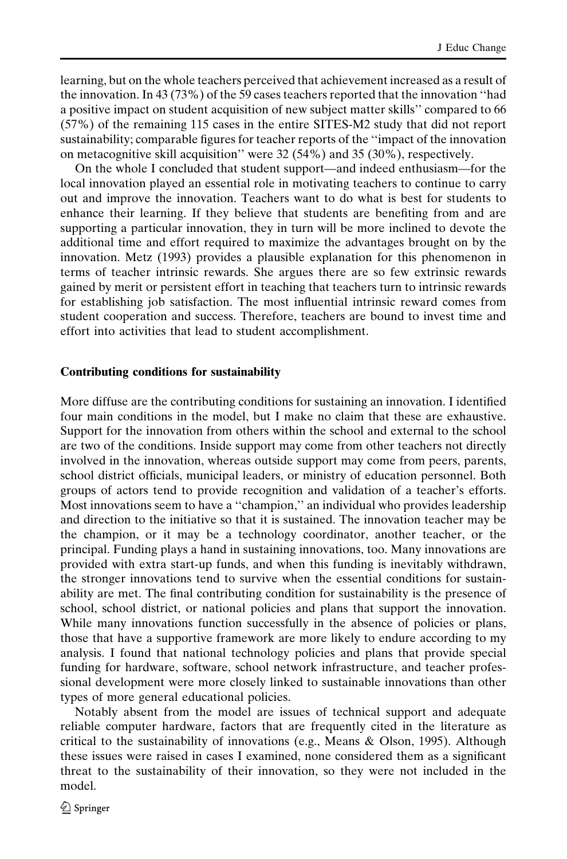learning, but on the whole teachers perceived that achievement increased as a result of the innovation. In 43 (73%) of the 59 cases teachers reported that the innovation ''had a positive impact on student acquisition of new subject matter skills'' compared to 66 (57%) of the remaining 115 cases in the entire SITES-M2 study that did not report sustainability; comparable figures for teacher reports of the ''impact of the innovation on metacognitive skill acquisition'' were 32 (54%) and 35 (30%), respectively.

On the whole I concluded that student support—and indeed enthusiasm—for the local innovation played an essential role in motivating teachers to continue to carry out and improve the innovation. Teachers want to do what is best for students to enhance their learning. If they believe that students are benefiting from and are supporting a particular innovation, they in turn will be more inclined to devote the additional time and effort required to maximize the advantages brought on by the innovation. Metz (1993) provides a plausible explanation for this phenomenon in terms of teacher intrinsic rewards. She argues there are so few extrinsic rewards gained by merit or persistent effort in teaching that teachers turn to intrinsic rewards for establishing job satisfaction. The most influential intrinsic reward comes from student cooperation and success. Therefore, teachers are bound to invest time and effort into activities that lead to student accomplishment.

# Contributing conditions for sustainability

More diffuse are the contributing conditions for sustaining an innovation. I identified four main conditions in the model, but I make no claim that these are exhaustive. Support for the innovation from others within the school and external to the school are two of the conditions. Inside support may come from other teachers not directly involved in the innovation, whereas outside support may come from peers, parents, school district officials, municipal leaders, or ministry of education personnel. Both groups of actors tend to provide recognition and validation of a teacher's efforts. Most innovations seem to have a ''champion,'' an individual who provides leadership and direction to the initiative so that it is sustained. The innovation teacher may be the champion, or it may be a technology coordinator, another teacher, or the principal. Funding plays a hand in sustaining innovations, too. Many innovations are provided with extra start-up funds, and when this funding is inevitably withdrawn, the stronger innovations tend to survive when the essential conditions for sustainability are met. The final contributing condition for sustainability is the presence of school, school district, or national policies and plans that support the innovation. While many innovations function successfully in the absence of policies or plans, those that have a supportive framework are more likely to endure according to my analysis. I found that national technology policies and plans that provide special funding for hardware, software, school network infrastructure, and teacher professional development were more closely linked to sustainable innovations than other types of more general educational policies.

Notably absent from the model are issues of technical support and adequate reliable computer hardware, factors that are frequently cited in the literature as critical to the sustainability of innovations (e.g., Means & Olson, 1995). Although these issues were raised in cases I examined, none considered them as a significant threat to the sustainability of their innovation, so they were not included in the model.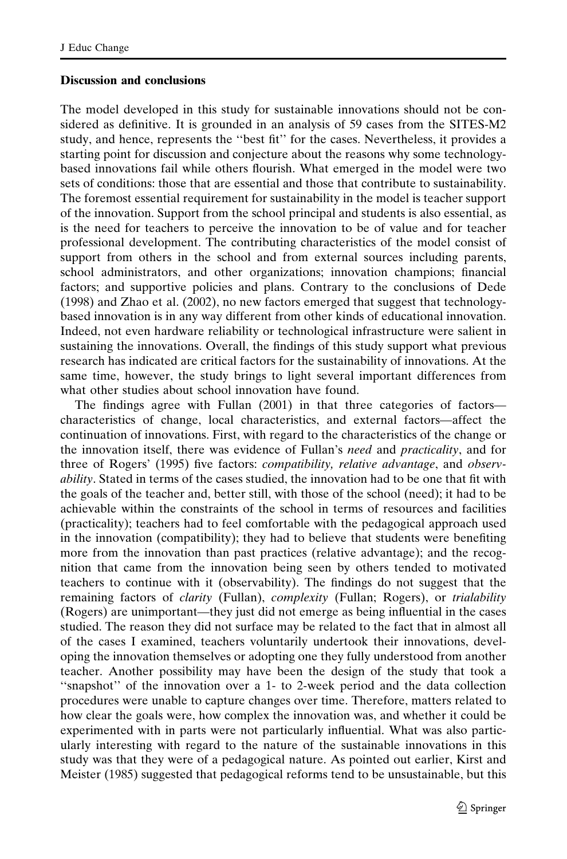#### Discussion and conclusions

The model developed in this study for sustainable innovations should not be considered as definitive. It is grounded in an analysis of 59 cases from the SITES-M2 study, and hence, represents the ''best fit'' for the cases. Nevertheless, it provides a starting point for discussion and conjecture about the reasons why some technologybased innovations fail while others flourish. What emerged in the model were two sets of conditions: those that are essential and those that contribute to sustainability. The foremost essential requirement for sustainability in the model is teacher support of the innovation. Support from the school principal and students is also essential, as is the need for teachers to perceive the innovation to be of value and for teacher professional development. The contributing characteristics of the model consist of support from others in the school and from external sources including parents, school administrators, and other organizations; innovation champions; financial factors; and supportive policies and plans. Contrary to the conclusions of Dede (1998) and Zhao et al. (2002), no new factors emerged that suggest that technologybased innovation is in any way different from other kinds of educational innovation. Indeed, not even hardware reliability or technological infrastructure were salient in sustaining the innovations. Overall, the findings of this study support what previous research has indicated are critical factors for the sustainability of innovations. At the same time, however, the study brings to light several important differences from what other studies about school innovation have found.

The findings agree with Fullan (2001) in that three categories of factors characteristics of change, local characteristics, and external factors—affect the continuation of innovations. First, with regard to the characteristics of the change or the innovation itself, there was evidence of Fullan's need and practicality, and for three of Rogers' (1995) five factors: compatibility, relative advantage, and observability. Stated in terms of the cases studied, the innovation had to be one that fit with the goals of the teacher and, better still, with those of the school (need); it had to be achievable within the constraints of the school in terms of resources and facilities (practicality); teachers had to feel comfortable with the pedagogical approach used in the innovation (compatibility); they had to believe that students were benefiting more from the innovation than past practices (relative advantage); and the recognition that came from the innovation being seen by others tended to motivated teachers to continue with it (observability). The findings do not suggest that the remaining factors of *clarity* (Fullan), *complexity* (Fullan; Rogers), or *trialability* (Rogers) are unimportant—they just did not emerge as being influential in the cases studied. The reason they did not surface may be related to the fact that in almost all of the cases I examined, teachers voluntarily undertook their innovations, developing the innovation themselves or adopting one they fully understood from another teacher. Another possibility may have been the design of the study that took a "snapshot" of the innovation over a 1- to 2-week period and the data collection procedures were unable to capture changes over time. Therefore, matters related to how clear the goals were, how complex the innovation was, and whether it could be experimented with in parts were not particularly influential. What was also particularly interesting with regard to the nature of the sustainable innovations in this study was that they were of a pedagogical nature. As pointed out earlier, Kirst and Meister (1985) suggested that pedagogical reforms tend to be unsustainable, but this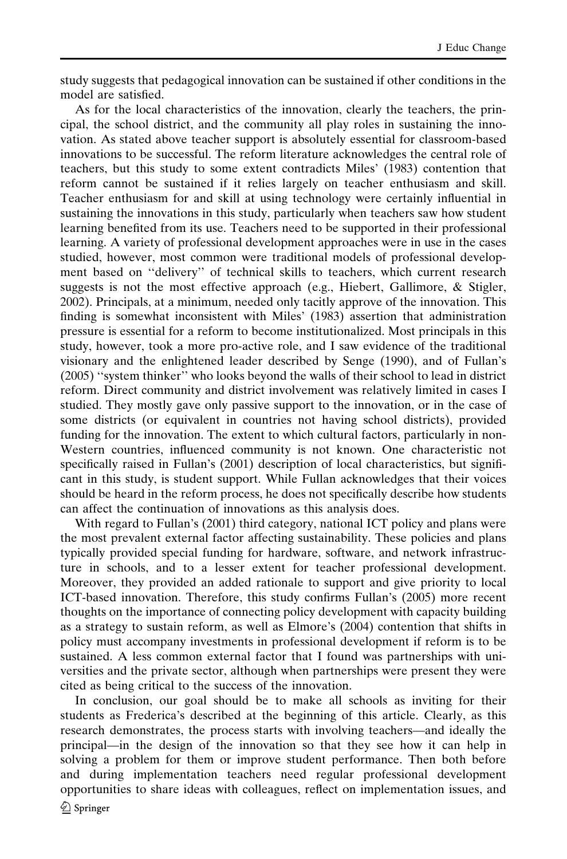study suggests that pedagogical innovation can be sustained if other conditions in the model are satisfied.

As for the local characteristics of the innovation, clearly the teachers, the principal, the school district, and the community all play roles in sustaining the innovation. As stated above teacher support is absolutely essential for classroom-based innovations to be successful. The reform literature acknowledges the central role of teachers, but this study to some extent contradicts Miles' (1983) contention that reform cannot be sustained if it relies largely on teacher enthusiasm and skill. Teacher enthusiasm for and skill at using technology were certainly influential in sustaining the innovations in this study, particularly when teachers saw how student learning benefited from its use. Teachers need to be supported in their professional learning. A variety of professional development approaches were in use in the cases studied, however, most common were traditional models of professional development based on ''delivery'' of technical skills to teachers, which current research suggests is not the most effective approach (e.g., Hiebert, Gallimore, & Stigler, 2002). Principals, at a minimum, needed only tacitly approve of the innovation. This finding is somewhat inconsistent with Miles' (1983) assertion that administration pressure is essential for a reform to become institutionalized. Most principals in this study, however, took a more pro-active role, and I saw evidence of the traditional visionary and the enlightened leader described by Senge (1990), and of Fullan's (2005) ''system thinker'' who looks beyond the walls of their school to lead in district reform. Direct community and district involvement was relatively limited in cases I studied. They mostly gave only passive support to the innovation, or in the case of some districts (or equivalent in countries not having school districts), provided funding for the innovation. The extent to which cultural factors, particularly in non-Western countries, influenced community is not known. One characteristic not specifically raised in Fullan's (2001) description of local characteristics, but significant in this study, is student support. While Fullan acknowledges that their voices should be heard in the reform process, he does not specifically describe how students can affect the continuation of innovations as this analysis does.

With regard to Fullan's (2001) third category, national ICT policy and plans were the most prevalent external factor affecting sustainability. These policies and plans typically provided special funding for hardware, software, and network infrastructure in schools, and to a lesser extent for teacher professional development. Moreover, they provided an added rationale to support and give priority to local ICT-based innovation. Therefore, this study confirms Fullan's (2005) more recent thoughts on the importance of connecting policy development with capacity building as a strategy to sustain reform, as well as Elmore's (2004) contention that shifts in policy must accompany investments in professional development if reform is to be sustained. A less common external factor that I found was partnerships with universities and the private sector, although when partnerships were present they were cited as being critical to the success of the innovation.

In conclusion, our goal should be to make all schools as inviting for their students as Frederica's described at the beginning of this article. Clearly, as this research demonstrates, the process starts with involving teachers—and ideally the principal—in the design of the innovation so that they see how it can help in solving a problem for them or improve student performance. Then both before and during implementation teachers need regular professional development opportunities to share ideas with colleagues, reflect on implementation issues, and  $\bigcirc$  Springer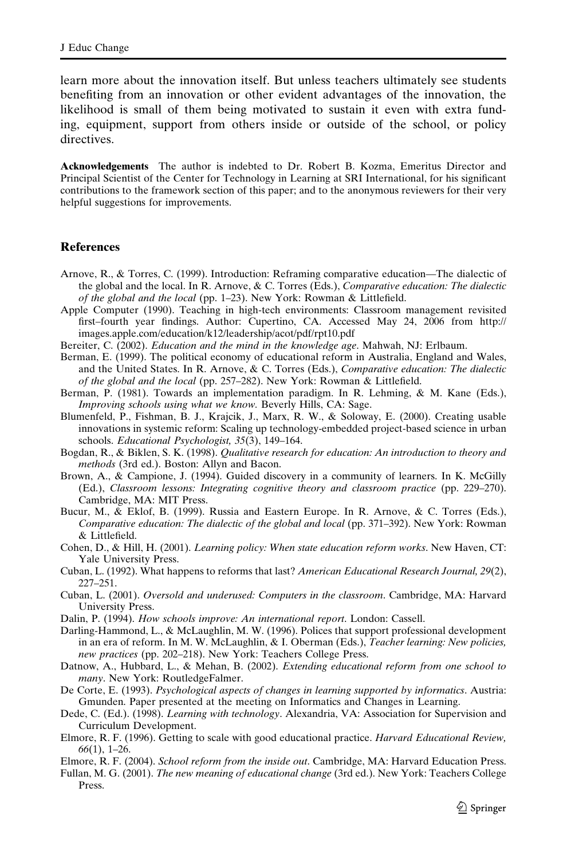learn more about the innovation itself. But unless teachers ultimately see students benefiting from an innovation or other evident advantages of the innovation, the likelihood is small of them being motivated to sustain it even with extra funding, equipment, support from others inside or outside of the school, or policy directives.

Acknowledgements The author is indebted to Dr. Robert B. Kozma, Emeritus Director and Principal Scientist of the Center for Technology in Learning at SRI International, for his significant contributions to the framework section of this paper; and to the anonymous reviewers for their very helpful suggestions for improvements.

#### References

- Arnove, R., & Torres, C. (1999). Introduction: Reframing comparative education—The dialectic of the global and the local. In R. Arnove, & C. Torres (Eds.), Comparative education: The dialectic of the global and the local (pp. 1–23). New York: Rowman & Littlefield.
- Apple Computer (1990). Teaching in high-tech environments: Classroom management revisited first–fourth year findings. Author: Cupertino, CA. Accessed May 24, 2006 from http:// images.apple.com/education/k12/leadership/acot/pdf/rpt10.pdf
- Bereiter, C. (2002). Education and the mind in the knowledge age. Mahwah, NJ: Erlbaum.
- Berman, E. (1999). The political economy of educational reform in Australia, England and Wales, and the United States. In R. Arnove, & C. Torres (Eds.), Comparative education: The dialectic of the global and the local (pp. 257–282). New York: Rowman & Littlefield.
- Berman, P. (1981). Towards an implementation paradigm. In R. Lehming, & M. Kane (Eds.), Improving schools using what we know. Beverly Hills, CA: Sage.
- Blumenfeld, P., Fishman, B. J., Krajcik, J., Marx, R. W., & Soloway, E. (2000). Creating usable innovations in systemic reform: Scaling up technology-embedded project-based science in urban schools. Educational Psychologist, 35(3), 149–164.
- Bogdan, R., & Biklen, S. K. (1998). Qualitative research for education: An introduction to theory and methods (3rd ed.). Boston: Allyn and Bacon.
- Brown, A., & Campione, J. (1994). Guided discovery in a community of learners. In K. McGilly (Ed.), Classroom lessons: Integrating cognitive theory and classroom practice (pp. 229–270). Cambridge, MA: MIT Press.
- Bucur, M., & Eklof, B. (1999). Russia and Eastern Europe. In R. Arnove, & C. Torres (Eds.), Comparative education: The dialectic of the global and local (pp. 371–392). New York: Rowman & Littlefield.
- Cohen, D., & Hill, H. (2001). Learning policy: When state education reform works. New Haven, CT: Yale University Press.
- Cuban, L. (1992). What happens to reforms that last? American Educational Research Journal, 29(2), 227–251.
- Cuban, L. (2001). Oversold and underused: Computers in the classroom. Cambridge, MA: Harvard University Press.
- Dalin, P. (1994). How schools improve: An international report. London: Cassell.
- Darling-Hammond, L., & McLaughlin, M. W. (1996). Polices that support professional development in an era of reform. In M. W. McLaughlin, & I. Oberman (Eds.), Teacher learning: New policies, new practices (pp. 202–218). New York: Teachers College Press.
- Datnow, A., Hubbard, L., & Mehan, B. (2002). Extending educational reform from one school to many. New York: RoutledgeFalmer.
- De Corte, E. (1993). Psychological aspects of changes in learning supported by informatics. Austria: Gmunden. Paper presented at the meeting on Informatics and Changes in Learning.
- Dede, C. (Ed.). (1998). Learning with technology. Alexandria, VA: Association for Supervision and Curriculum Development.
- Elmore, R. F. (1996). Getting to scale with good educational practice. Harvard Educational Review, 66(1), 1–26.
- Elmore, R. F. (2004). School reform from the inside out. Cambridge, MA: Harvard Education Press.
- Fullan, M. G. (2001). The new meaning of educational change (3rd ed.). New York: Teachers College Press.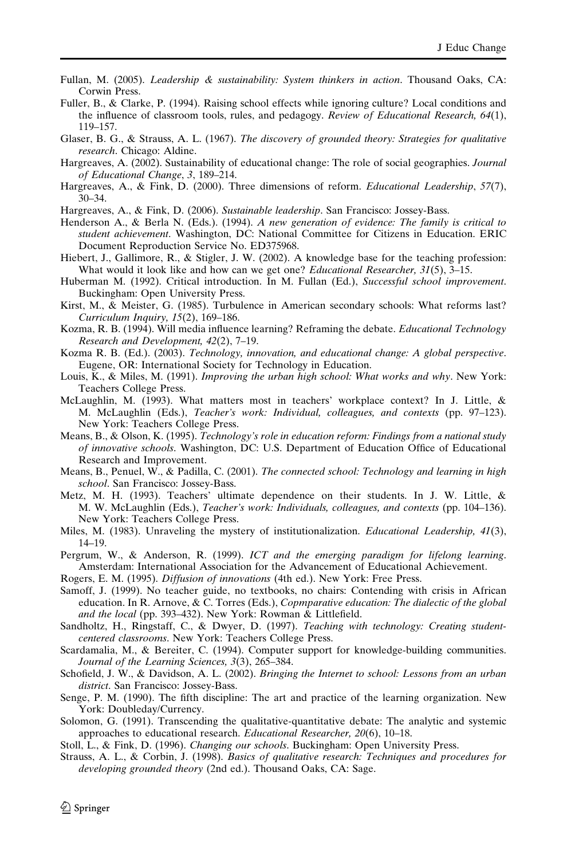- Fullan, M. (2005). Leadership & sustainability: System thinkers in action. Thousand Oaks, CA: Corwin Press.
- Fuller, B., & Clarke, P. (1994). Raising school effects while ignoring culture? Local conditions and the influence of classroom tools, rules, and pedagogy. Review of Educational Research, 64(1), 119–157.
- Glaser, B. G., & Strauss, A. L. (1967). The discovery of grounded theory: Strategies for qualitative research. Chicago: Aldine.
- Hargreaves, A. (2002). Sustainability of educational change: The role of social geographies. Journal of Educational Change, 3, 189–214.
- Hargreaves, A., & Fink, D. (2000). Three dimensions of reform. *Educational Leadership*, 57(7), 30–34.
- Hargreaves, A., & Fink, D. (2006). Sustainable leadership. San Francisco: Jossey-Bass.
- Henderson A., & Berla N. (Eds.). (1994). A new generation of evidence: The family is critical to student achievement. Washington, DC: National Committee for Citizens in Education. ERIC Document Reproduction Service No. ED375968.
- Hiebert, J., Gallimore, R., & Stigler, J. W. (2002). A knowledge base for the teaching profession: What would it look like and how can we get one? Educational Researcher, 31(5), 3-15.
- Huberman M. (1992). Critical introduction. In M. Fullan (Ed.), Successful school improvement. Buckingham: Open University Press.
- Kirst, M., & Meister, G. (1985). Turbulence in American secondary schools: What reforms last? Curriculum Inquiry, 15(2), 169–186.
- Kozma, R. B. (1994). Will media influence learning? Reframing the debate. Educational Technology Research and Development, 42(2), 7–19.
- Kozma R. B. (Ed.). (2003). Technology, innovation, and educational change: A global perspective. Eugene, OR: International Society for Technology in Education.
- Louis, K., & Miles, M. (1991). Improving the urban high school: What works and why. New York: Teachers College Press.
- McLaughlin, M. (1993). What matters most in teachers' workplace context? In J. Little, & M. McLaughlin (Eds.), Teacher's work: Individual, colleagues, and contexts (pp. 97–123). New York: Teachers College Press.
- Means, B., & Olson, K. (1995). Technology's role in education reform: Findings from a national study of innovative schools. Washington, DC: U.S. Department of Education Office of Educational Research and Improvement.
- Means, B., Penuel, W., & Padilla, C. (2001). The connected school: Technology and learning in high school. San Francisco: Jossey-Bass.
- Metz, M. H. (1993). Teachers' ultimate dependence on their students. In J. W. Little, & M. W. McLaughlin (Eds.), Teacher's work: Individuals, colleagues, and contexts (pp. 104–136). New York: Teachers College Press.
- Miles, M. (1983). Unraveling the mystery of institutionalization. *Educational Leadership*, 41(3), 14–19.
- Pergrum, W., & Anderson, R. (1999). ICT and the emerging paradigm for lifelong learning. Amsterdam: International Association for the Advancement of Educational Achievement.

Rogers, E. M. (1995). Diffusion of innovations (4th ed.). New York: Free Press.

- Samoff, J. (1999). No teacher guide, no textbooks, no chairs: Contending with crisis in African education. In R. Arnove, & C. Torres (Eds.), Copmparative education: The dialectic of the global and the local (pp. 393–432). New York: Rowman & Littlefield.
- Sandholtz, H., Ringstaff, C., & Dwyer, D. (1997). Teaching with technology: Creating studentcentered classrooms. New York: Teachers College Press.
- Scardamalia, M., & Bereiter, C. (1994). Computer support for knowledge-building communities. Journal of the Learning Sciences, 3(3), 265–384.
- Schofield, J. W., & Davidson, A. L. (2002). Bringing the Internet to school: Lessons from an urban district. San Francisco: Jossey-Bass.
- Senge, P. M. (1990). The fifth discipline: The art and practice of the learning organization. New York: Doubleday/Currency.
- Solomon, G. (1991). Transcending the qualitative-quantitative debate: The analytic and systemic approaches to educational research. Educational Researcher, 20(6), 10–18.
- Stoll, L., & Fink, D. (1996). Changing our schools. Buckingham: Open University Press.
- Strauss, A. L., & Corbin, J. (1998). Basics of qualitative research: Techniques and procedures for developing grounded theory (2nd ed.). Thousand Oaks, CA: Sage.